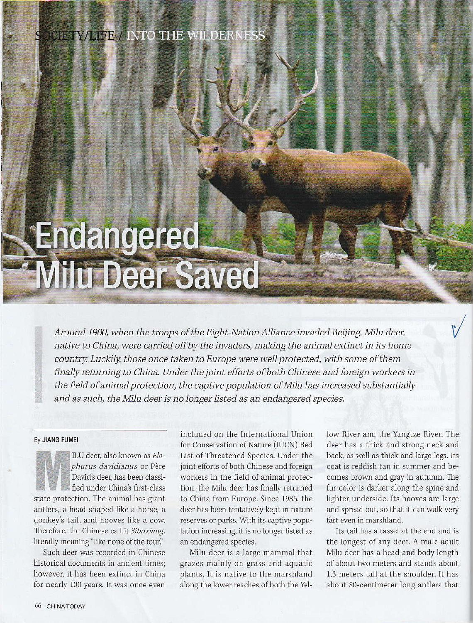## **SCIETY/LIFE / INTO THE WILDERNESS**

## Endangered **Milu Deer Saved**

Around 1900, when the troops of the Eight-Nation Alliance invaded Beijing, Milu deer, native to China, were carried off by the invaders, making the animal extinct in its home country. Luckily, those once taken to Europe were well protected, with some of them finally returning to China. Under the joint efforts of both Chinese and foreign workers in the field of animal protection, the captive population of Milu has increased substantially and as such, the Milu deer is no longer listed as an endangered species.

## By JIANG FUMEI

ILU deer, also known as Elaphurus davidianus or Père David's deer, has been classified under China's first-class state protection. The animal has giant antlers, a head shaped like a horse, a donkey's tail, and hooves like a cow. Therefore, the Chinese call it Sibuxiang, literally meaning "like none of the four."

Such deer was recorded in Chinese historical documents in ancient times: however, it has been extinct in China for nearly 100 years. It was once even included on the International Union for Conservation of Nature (IUCN) Red List of Threatened Species. Under the joint efforts of both Chinese and foreign workers in the field of animal protection, the Milu deer has finally returned to China from Europe. Since 1985, the deer has been tentatively kept in nature reserves or parks. With its captive population increasing, it is no longer listed as an endangered species.

Milu deer is a large mammal that grazes mainly on grass and aquatic plants. It is native to the marshland along the lower reaches of both the Yellow River and the Yangtze River. The deer has a thick and strong neck and back, as well as thick and large legs. Its coat is reddish tan in summer and becomes brown and gray in autumn. The fur color is darker along the spine and lighter underside. Its hooves are large and spread out, so that it can walk very fast even in marshland.

Its tail has a tassel at the end and is the longest of any deer. A male adult Milu deer has a head-and-body length of about two meters and stands about 1.3 meters tall at the shoulder. It has about 80-centimeter long antlers that